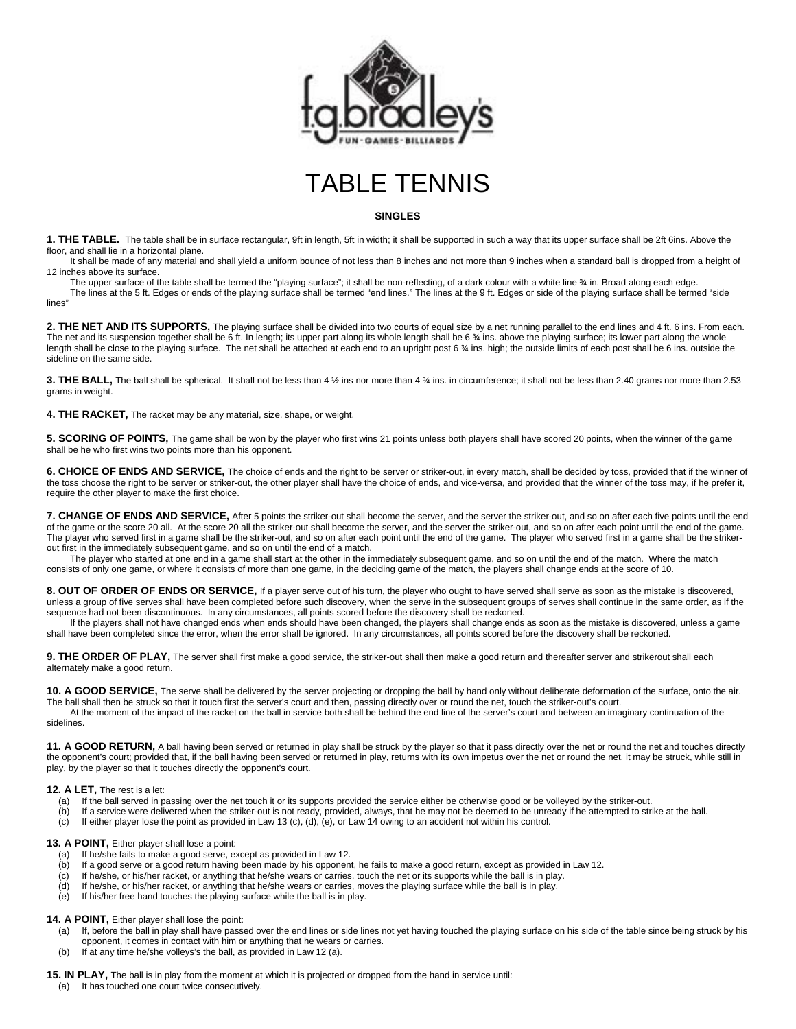



## **SINGLES**

**1. THE TABLE.** The table shall be in surface rectangular, 9ft in length, 5ft in width; it shall be supported in such a way that its upper surface shall be 2ft 6ins. Above the floor, and shall lie in a horizontal plane.

It shall be made of any material and shall yield a uniform bounce of not less than 8 inches and not more than 9 inches when a standard ball is dropped from a height of 12 inches above its surface.

The upper surface of the table shall be termed the "playing surface"; it shall be non-reflecting, of a dark colour with a white line ¾ in. Broad along each edge. The lines at the 5 ft. Edges or ends of the playing surface shall be termed "end lines." The lines at the 9 ft. Edges or side of the playing surface shall be termed "side lines"

2. THE NET AND ITS SUPPORTS, The playing surface shall be divided into two courts of equal size by a net running parallel to the end lines and 4 ft. 6 ins. From each. The net and its suspension together shall be 6 ft. In length; its upper part along its whole length shall be 6 % ins. above the playing surface; its lower part along the whole length shall be close to the playing surface. The net shall be attached at each end to an upright post 6 % ins. high; the outside limits of each post shall be 6 ins. outside the sideline on the same side.

**3. THE BALL,** The ball shall be spherical. It shall not be less than 4 ½ ins nor more than 4 ¾ ins. in circumference; it shall not be less than 2.40 grams nor more than 2.53 grams in weight.

**4. THE RACKET,** The racket may be any material, size, shape, or weight.

**5. SCORING OF POINTS,** The game shall be won by the player who first wins 21 points unless both players shall have scored 20 points, when the winner of the game shall be he who first wins two points more than his opponent.

**6. CHOICE OF ENDS AND SERVICE,** The choice of ends and the right to be server or striker-out, in every match, shall be decided by toss, provided that if the winner of the toss choose the right to be server or striker-out, the other player shall have the choice of ends, and vice-versa, and provided that the winner of the toss may, if he prefer it, require the other player to make the first choice.

**7. CHANGE OF ENDS AND SERVICE,** After 5 points the striker-out shall become the server, and the server the striker-out, and so on after each five points until the end of the game or the score 20 all. At the score 20 all the striker-out shall become the server, and the server the striker-out, and so on after each point until the end of the game. The player who served first in a game shall be the striker-out, and so on after each point until the end of the game. The player who served first in a game shall be the strikerout first in the immediately subsequent game, and so on until the end of a match.

The player who started at one end in a game shall start at the other in the immediately subsequent game, and so on until the end of the match. Where the match consists of only one game, or where it consists of more than one game, in the deciding game of the match, the players shall change ends at the score of 10.

**8. OUT OF ORDER OF ENDS OR SERVICE,** If a player serve out of his turn, the player who ought to have served shall serve as soon as the mistake is discovered, unless a group of five serves shall have been completed before such discovery, when the serve in the subsequent groups of serves shall continue in the same order, as if the sequence had not been discontinuous. In any circumstances, all points scored before the discovery shall be reckoned.

If the players shall not have changed ends when ends should have been changed, the players shall change ends as soon as the mistake is discovered, unless a game shall have been completed since the error, when the error shall be ignored. In any circumstances, all points scored before the discovery shall be reckoned.

9. THE ORDER OF PLAY, The server shall first make a good service, the striker-out shall then make a good return and thereafter server and strikerout shall each alternately make a good return.

**10. A GOOD SERVICE,** The serve shall be delivered by the server projecting or dropping the ball by hand only without deliberate deformation of the surface, onto the air. The ball shall then be struck so that it touch first the server's court and then, passing directly over or round the net, touch the striker-out's court.

At the moment of the impact of the racket on the ball in service both shall be behind the end line of the server's court and between an imaginary continuation of the sidelines.

**11. A GOOD RETURN**, A ball having been served or returned in play shall be struck by the player so that it pass directly over the net or round the net and touches directly the opponent's court; provided that, if the ball having been served or returned in play, returns with its own impetus over the net or round the net, it may be struck, while still in play, by the player so that it touches directly the opponent's court.

## **12. A LET,** The rest is a let:

- (a) If the ball served in passing over the net touch it or its supports provided the service either be otherwise good or be volleyed by the striker-out.
- (b) If a service were delivered when the striker-out is not ready, provided, always, that he may not be deemed to be unready if he attempted to strike at the ball.
- (c) If either player lose the point as provided in Law 13 (c), (d), (e), or Law 14 owing to an accident not within his control.

# **13. A POINT,** Either player shall lose a point:<br>(a) If he/she fails to make a good serve, ex-

- (a) If he/she fails to make a good serve, except as provided in Law 12.<br>(b) If a good serve or a good return having been made by his opponen
- If a good serve or a good return having been made by his opponent, he fails to make a good return, except as provided in Law 12.
- (c) If he/she, or his/her racket, or anything that he/she wears or carries, touch the net or its supports while the ball is in play.
- (d) If he/she, or his/her racket, or anything that he/she wears or carries, moves the playing surface while the ball is in play.
- (e) If his/her free hand touches the playing surface while the ball is in play.

## **14. A POINT,** Either player shall lose the point:

- (a) If, before the ball in play shall have passed over the end lines or side lines not yet having touched the playing surface on his side of the table since being struck by his opponent, it comes in contact with him or anything that he wears or carries.
- (b) If at any time he/she volleys's the ball, as provided in Law 12 (a).

**15. IN PLAY,** The ball is in play from the moment at which it is projected or dropped from the hand in service until:

(a) It has touched one court twice consecutively.